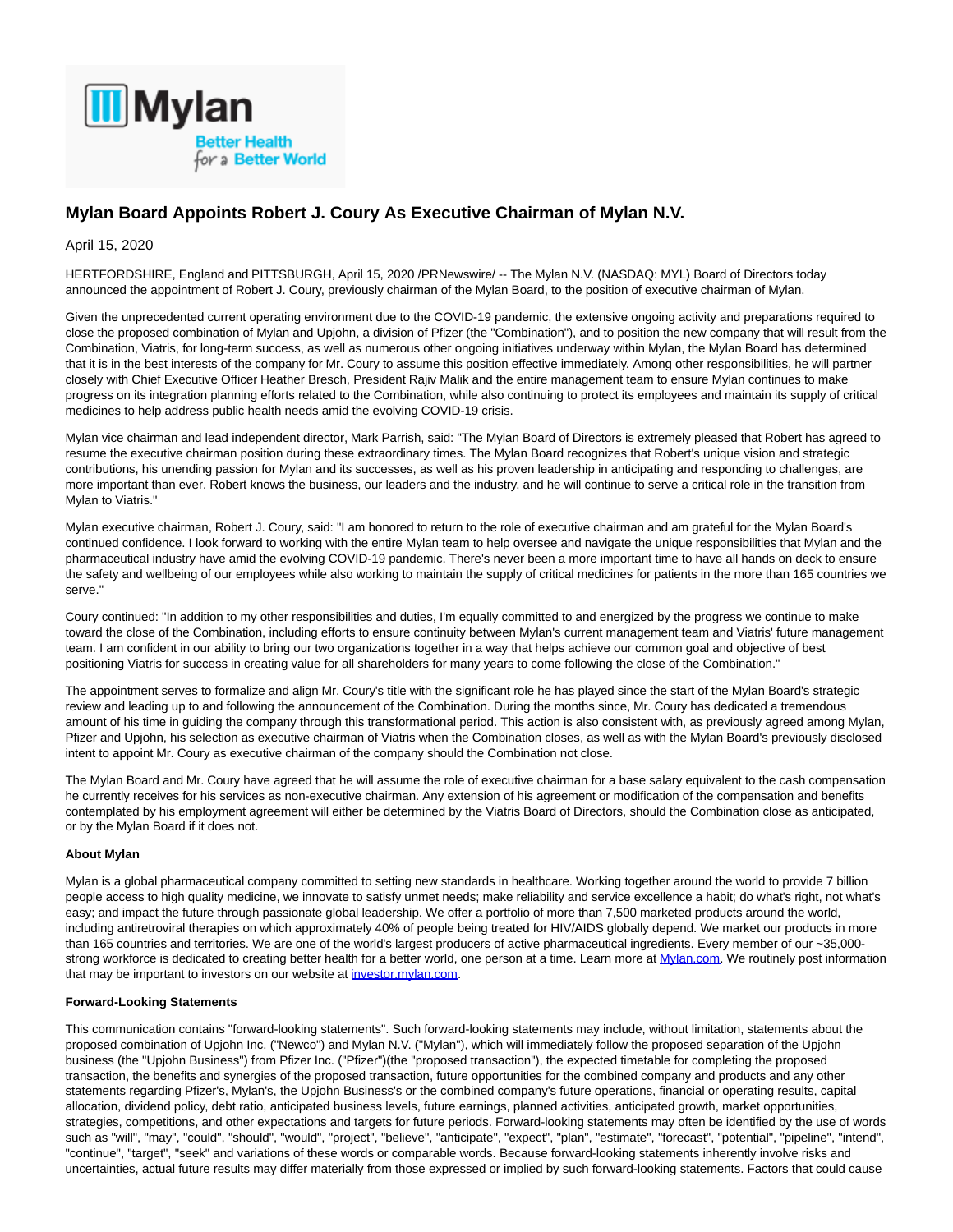

# **Mylan Board Appoints Robert J. Coury As Executive Chairman of Mylan N.V.**

April 15, 2020

HERTFORDSHIRE, England and PITTSBURGH, April 15, 2020 /PRNewswire/ -- The Mylan N.V. (NASDAQ: MYL) Board of Directors today announced the appointment of Robert J. Coury, previously chairman of the Mylan Board, to the position of executive chairman of Mylan.

Given the unprecedented current operating environment due to the COVID-19 pandemic, the extensive ongoing activity and preparations required to close the proposed combination of Mylan and Upjohn, a division of Pfizer (the "Combination"), and to position the new company that will result from the Combination, Viatris, for long-term success, as well as numerous other ongoing initiatives underway within Mylan, the Mylan Board has determined that it is in the best interests of the company for Mr. Coury to assume this position effective immediately. Among other responsibilities, he will partner closely with Chief Executive Officer Heather Bresch, President Rajiv Malik and the entire management team to ensure Mylan continues to make progress on its integration planning efforts related to the Combination, while also continuing to protect its employees and maintain its supply of critical medicines to help address public health needs amid the evolving COVID-19 crisis.

Mylan vice chairman and lead independent director, Mark Parrish, said: "The Mylan Board of Directors is extremely pleased that Robert has agreed to resume the executive chairman position during these extraordinary times. The Mylan Board recognizes that Robert's unique vision and strategic contributions, his unending passion for Mylan and its successes, as well as his proven leadership in anticipating and responding to challenges, are more important than ever. Robert knows the business, our leaders and the industry, and he will continue to serve a critical role in the transition from Mylan to Viatris."

Mylan executive chairman, Robert J. Coury, said: "I am honored to return to the role of executive chairman and am grateful for the Mylan Board's continued confidence. I look forward to working with the entire Mylan team to help oversee and navigate the unique responsibilities that Mylan and the pharmaceutical industry have amid the evolving COVID-19 pandemic. There's never been a more important time to have all hands on deck to ensure the safety and wellbeing of our employees while also working to maintain the supply of critical medicines for patients in the more than 165 countries we serve."

Coury continued: "In addition to my other responsibilities and duties, I'm equally committed to and energized by the progress we continue to make toward the close of the Combination, including efforts to ensure continuity between Mylan's current management team and Viatris' future management team. I am confident in our ability to bring our two organizations together in a way that helps achieve our common goal and objective of best positioning Viatris for success in creating value for all shareholders for many years to come following the close of the Combination."

The appointment serves to formalize and align Mr. Coury's title with the significant role he has played since the start of the Mylan Board's strategic review and leading up to and following the announcement of the Combination. During the months since, Mr. Coury has dedicated a tremendous amount of his time in guiding the company through this transformational period. This action is also consistent with, as previously agreed among Mylan, Pfizer and Upjohn, his selection as executive chairman of Viatris when the Combination closes, as well as with the Mylan Board's previously disclosed intent to appoint Mr. Coury as executive chairman of the company should the Combination not close.

The Mylan Board and Mr. Coury have agreed that he will assume the role of executive chairman for a base salary equivalent to the cash compensation he currently receives for his services as non-executive chairman. Any extension of his agreement or modification of the compensation and benefits contemplated by his employment agreement will either be determined by the Viatris Board of Directors, should the Combination close as anticipated, or by the Mylan Board if it does not.

## **About Mylan**

Mylan is a global pharmaceutical company committed to setting new standards in healthcare. Working together around the world to provide 7 billion people access to high quality medicine, we innovate to satisfy unmet needs; make reliability and service excellence a habit; do what's right, not what's easy; and impact the future through passionate global leadership. We offer a portfolio of more than 7,500 marketed products around the world, including antiretroviral therapies on which approximately 40% of people being treated for HIV/AIDS globally depend. We market our products in more than 165 countries and territories. We are one of the world's largest producers of active pharmaceutical ingredients. Every member of our ~35,000 strong workforce is dedicated to creating better health for a better world, one person at a time. Learn more a[t Mylan.com.](https://c212.net/c/link/?t=0&l=en&o=2778285-1&h=2637570753&u=https%3A%2F%2Fc212.net%2Fc%2Flink%2F%3Ft%3D0%26l%3Den%26o%3D2762647-1%26h%3D3142925651%26u%3Dhttps%253A%252F%252Fc212.net%252Fc%252Flink%252F%253Ft%253D0%2526l%253Den%2526o%253D2743775-1%2526h%253D662784036%2526u%253Dhttp%25253A%25252F%25252Fwww.mylan.com%25252F%2526a%253DMylan.com%26a%3DMylan.com&a=Mylan.com) We routinely post information that may be important to investors on our website at [investor.mylan.com.](https://c212.net/c/link/?t=0&l=en&o=2778285-1&h=2443352321&u=https%3A%2F%2Fc212.net%2Fc%2Flink%2F%3Ft%3D0%26l%3Den%26o%3D2762647-1%26h%3D657249495%26u%3Dhttps%253A%252F%252Fc212.net%252Fc%252Flink%252F%253Ft%253D0%2526l%253Den%2526o%253D2743775-1%2526h%253D4008680860%2526u%253Dhttp%25253A%25252F%25252Finvestor.mylan.com%25252F%2526a%253Dinvestor.mylan.com%26a%3Dinvestor.mylan.com&a=investor.mylan.com)

## **Forward-Looking Statements**

This communication contains "forward-looking statements". Such forward-looking statements may include, without limitation, statements about the proposed combination of Upjohn Inc. ("Newco") and Mylan N.V. ("Mylan"), which will immediately follow the proposed separation of the Upjohn business (the "Upjohn Business") from Pfizer Inc. ("Pfizer")(the "proposed transaction"), the expected timetable for completing the proposed transaction, the benefits and synergies of the proposed transaction, future opportunities for the combined company and products and any other statements regarding Pfizer's, Mylan's, the Upjohn Business's or the combined company's future operations, financial or operating results, capital allocation, dividend policy, debt ratio, anticipated business levels, future earnings, planned activities, anticipated growth, market opportunities, strategies, competitions, and other expectations and targets for future periods. Forward-looking statements may often be identified by the use of words such as "will", "may", "could", "should", "would", "project", "believe", "anticipate", "expect", "plan", "estimate", "forecast", "potential", "pipeline", "intend", "continue", "target", "seek" and variations of these words or comparable words. Because forward-looking statements inherently involve risks and uncertainties, actual future results may differ materially from those expressed or implied by such forward-looking statements. Factors that could cause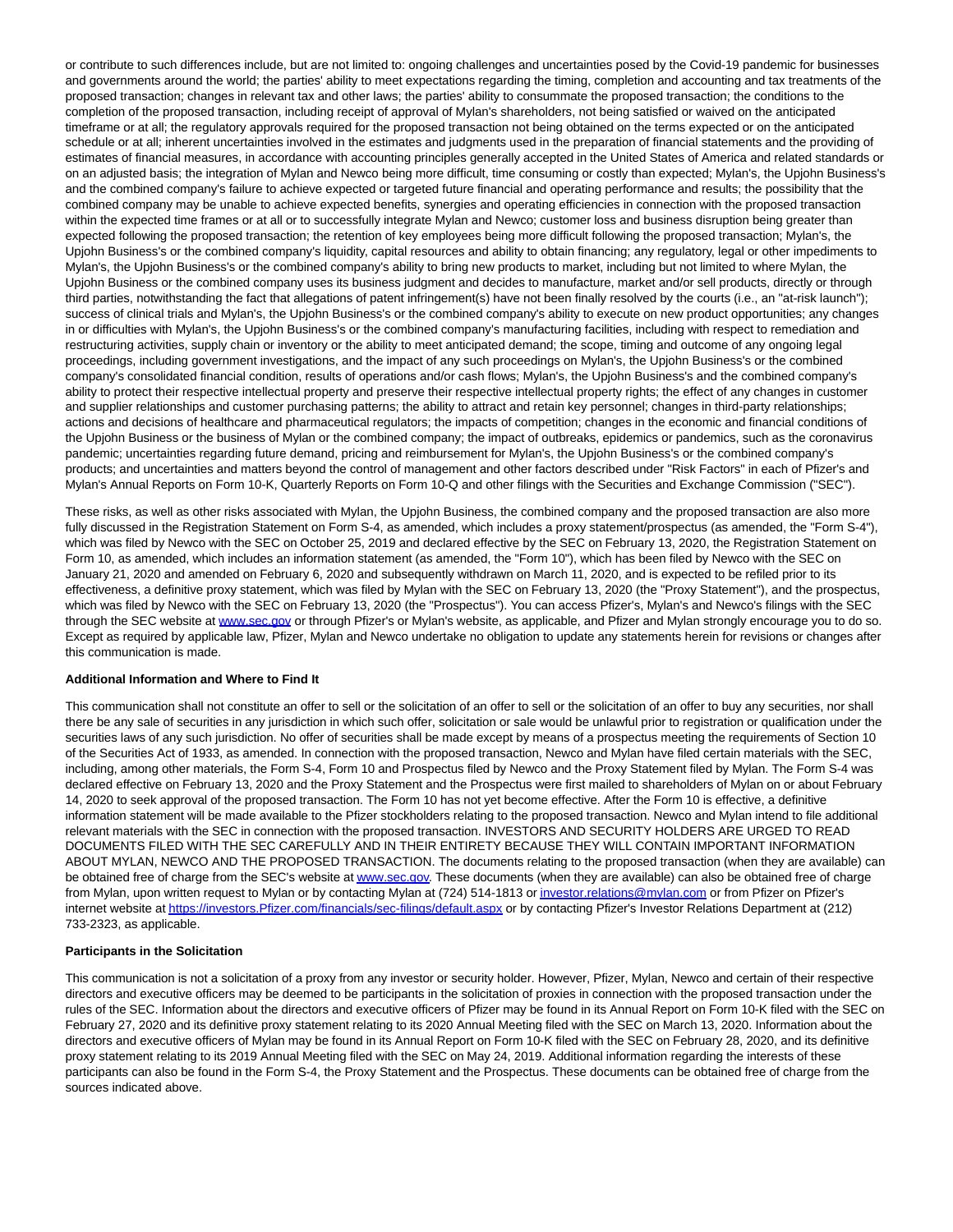or contribute to such differences include, but are not limited to: ongoing challenges and uncertainties posed by the Covid-19 pandemic for businesses and governments around the world; the parties' ability to meet expectations regarding the timing, completion and accounting and tax treatments of the proposed transaction; changes in relevant tax and other laws; the parties' ability to consummate the proposed transaction; the conditions to the completion of the proposed transaction, including receipt of approval of Mylan's shareholders, not being satisfied or waived on the anticipated timeframe or at all; the regulatory approvals required for the proposed transaction not being obtained on the terms expected or on the anticipated schedule or at all; inherent uncertainties involved in the estimates and judgments used in the preparation of financial statements and the providing of estimates of financial measures, in accordance with accounting principles generally accepted in the United States of America and related standards or on an adjusted basis; the integration of Mylan and Newco being more difficult, time consuming or costly than expected; Mylan's, the Upjohn Business's and the combined company's failure to achieve expected or targeted future financial and operating performance and results; the possibility that the combined company may be unable to achieve expected benefits, synergies and operating efficiencies in connection with the proposed transaction within the expected time frames or at all or to successfully integrate Mylan and Newco; customer loss and business disruption being greater than expected following the proposed transaction; the retention of key employees being more difficult following the proposed transaction; Mylan's, the Upjohn Business's or the combined company's liquidity, capital resources and ability to obtain financing; any regulatory, legal or other impediments to Mylan's, the Upjohn Business's or the combined company's ability to bring new products to market, including but not limited to where Mylan, the Upjohn Business or the combined company uses its business judgment and decides to manufacture, market and/or sell products, directly or through third parties, notwithstanding the fact that allegations of patent infringement(s) have not been finally resolved by the courts (i.e., an "at-risk launch"); success of clinical trials and Mylan's, the Upjohn Business's or the combined company's ability to execute on new product opportunities; any changes in or difficulties with Mylan's, the Upjohn Business's or the combined company's manufacturing facilities, including with respect to remediation and restructuring activities, supply chain or inventory or the ability to meet anticipated demand; the scope, timing and outcome of any ongoing legal proceedings, including government investigations, and the impact of any such proceedings on Mylan's, the Upjohn Business's or the combined company's consolidated financial condition, results of operations and/or cash flows; Mylan's, the Upjohn Business's and the combined company's ability to protect their respective intellectual property and preserve their respective intellectual property rights; the effect of any changes in customer and supplier relationships and customer purchasing patterns; the ability to attract and retain key personnel; changes in third-party relationships; actions and decisions of healthcare and pharmaceutical regulators; the impacts of competition; changes in the economic and financial conditions of the Upjohn Business or the business of Mylan or the combined company; the impact of outbreaks, epidemics or pandemics, such as the coronavirus pandemic; uncertainties regarding future demand, pricing and reimbursement for Mylan's, the Upjohn Business's or the combined company's products; and uncertainties and matters beyond the control of management and other factors described under "Risk Factors" in each of Pfizer's and Mylan's Annual Reports on Form 10-K, Quarterly Reports on Form 10-Q and other filings with the Securities and Exchange Commission ("SEC").

These risks, as well as other risks associated with Mylan, the Upjohn Business, the combined company and the proposed transaction are also more fully discussed in the Registration Statement on Form S-4, as amended, which includes a proxy statement/prospectus (as amended, the "Form S-4"), which was filed by Newco with the SEC on October 25, 2019 and declared effective by the SEC on February 13, 2020, the Registration Statement on Form 10, as amended, which includes an information statement (as amended, the "Form 10"), which has been filed by Newco with the SEC on January 21, 2020 and amended on February 6, 2020 and subsequently withdrawn on March 11, 2020, and is expected to be refiled prior to its effectiveness, a definitive proxy statement, which was filed by Mylan with the SEC on February 13, 2020 (the "Proxy Statement"), and the prospectus, which was filed by Newco with the SEC on February 13, 2020 (the "Prospectus"). You can access Pfizer's, Mylan's and Newco's filings with the SEC through the SEC website at [www.sec.gov o](http://www.sec.gov/)r through Pfizer's or Mylan's website, as applicable, and Pfizer and Mylan strongly encourage you to do so. Except as required by applicable law, Pfizer, Mylan and Newco undertake no obligation to update any statements herein for revisions or changes after this communication is made.

### **Additional Information and Where to Find It**

This communication shall not constitute an offer to sell or the solicitation of an offer to sell or the solicitation of an offer to buy any securities, nor shall there be any sale of securities in any jurisdiction in which such offer, solicitation or sale would be unlawful prior to registration or qualification under the securities laws of any such jurisdiction. No offer of securities shall be made except by means of a prospectus meeting the requirements of Section 10 of the Securities Act of 1933, as amended. In connection with the proposed transaction, Newco and Mylan have filed certain materials with the SEC, including, among other materials, the Form S-4, Form 10 and Prospectus filed by Newco and the Proxy Statement filed by Mylan. The Form S-4 was declared effective on February 13, 2020 and the Proxy Statement and the Prospectus were first mailed to shareholders of Mylan on or about February 14, 2020 to seek approval of the proposed transaction. The Form 10 has not yet become effective. After the Form 10 is effective, a definitive information statement will be made available to the Pfizer stockholders relating to the proposed transaction. Newco and Mylan intend to file additional relevant materials with the SEC in connection with the proposed transaction. INVESTORS AND SECURITY HOLDERS ARE URGED TO READ DOCUMENTS FILED WITH THE SEC CAREFULLY AND IN THEIR ENTIRETY BECAUSE THEY WILL CONTAIN IMPORTANT INFORMATION ABOUT MYLAN, NEWCO AND THE PROPOSED TRANSACTION. The documents relating to the proposed transaction (when they are available) can be obtained free of charge from the SEC's website a[t www.sec.gov.](http://www.sec.gov/) These documents (when they are available) can also be obtained free of charge from Mylan, upon written request to Mylan or by contacting Mylan at (724) 514-1813 or investor. relations@mylan.com or from Pfizer on Pfizer's internet website a[t https://investors.Pfizer.com/financials/sec-filings/default.aspx o](https://investors.pfizer.com/financials/sec-filings/default.aspx)r by contacting Pfizer's Investor Relations Department at (212) 733-2323, as applicable.

#### **Participants in the Solicitation**

This communication is not a solicitation of a proxy from any investor or security holder. However, Pfizer, Mylan, Newco and certain of their respective directors and executive officers may be deemed to be participants in the solicitation of proxies in connection with the proposed transaction under the rules of the SEC. Information about the directors and executive officers of Pfizer may be found in its Annual Report on Form 10-K filed with the SEC on February 27, 2020 and its definitive proxy statement relating to its 2020 Annual Meeting filed with the SEC on March 13, 2020. Information about the directors and executive officers of Mylan may be found in its Annual Report on Form 10-K filed with the SEC on February 28, 2020, and its definitive proxy statement relating to its 2019 Annual Meeting filed with the SEC on May 24, 2019. Additional information regarding the interests of these participants can also be found in the Form S-4, the Proxy Statement and the Prospectus. These documents can be obtained free of charge from the sources indicated above.